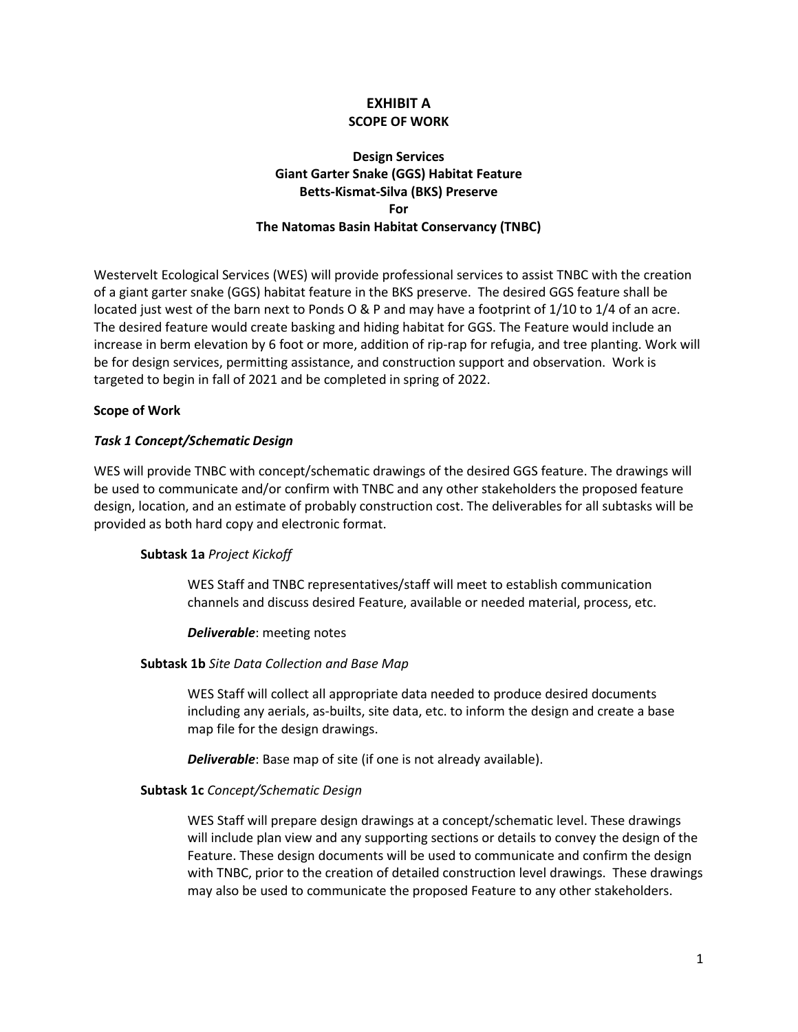# **EXHIBIT A SCOPE OF WORK**

# **Giant Garter Snake (GGS) Habitat Feature Design Services Betts-Kismat-Silva (BKS) Preserve For The Natomas Basin Habitat Conservancy (TNBC)**

 of a giant garter snake (GGS) habitat feature in the BKS preserve. The desired GGS feature shall be located just west of the barn next to Ponds O & P and may have a footprint of 1/10 to 1/4 of an acre. increase in berm elevation by 6 foot or more, addition of rip-rap for refugia, and tree planting. Work will Westervelt Ecological Services (WES) will provide professional services to assist TNBC with the creation The desired feature would create basking and hiding habitat for GGS. The Feature would include an be for design services, permitting assistance, and construction support and observation. Work is targeted to begin in fall of 2021 and be completed in spring of 2022.

### **Scope of Work**

## *Task 1 Concept/Schematic Design*

 design, location, and an estimate of probably construction cost. The deliverables for all subtasks will be WES will provide TNBC with concept/schematic drawings of the desired GGS feature. The drawings will be used to communicate and/or confirm with TNBC and any other stakeholders the proposed feature provided as both hard copy and electronic format.

### **Subtask 1a** *Project Kickoff*

WES Staff and TNBC representatives/staff will meet to establish communication channels and discuss desired Feature, available or needed material, process, etc.

### *Deliverable*: meeting notes

### **Subtask 1b** *Site Data Collection and Base Map*

WES Staff will collect all appropriate data needed to produce desired documents including any aerials, as-builts, site data, etc. to inform the design and create a base map file for the design drawings.

*Deliverable*: Base map of site (if one is not already available).

# **Subtask 1c** *Concept/Schematic Design*

 will include plan view and any supporting sections or details to convey the design of the Feature. These design documents will be used to communicate and confirm the design with TNBC, prior to the creation of detailed construction level drawings. These drawings WES Staff will prepare design drawings at a concept/schematic level. These drawings may also be used to communicate the proposed Feature to any other stakeholders.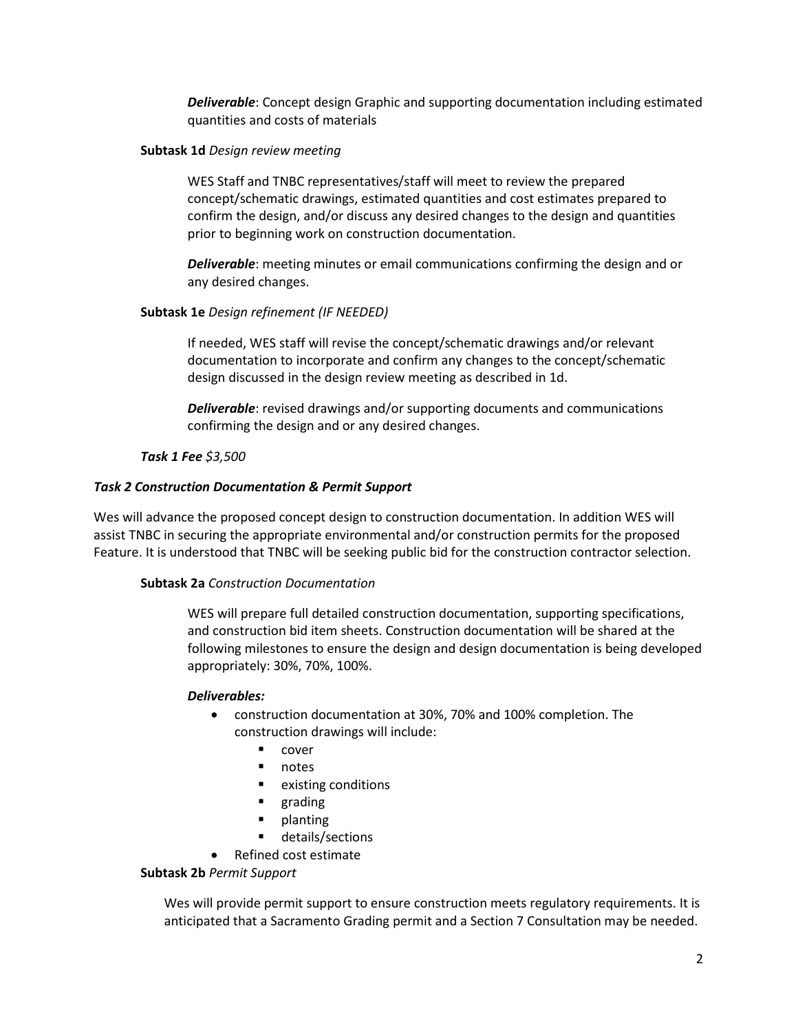*Deliverable*: Concept design Graphic and supporting documentation including estimated quantities and costs of materials

### **Subtask 1d** *Design review meeting*

 WES Staff and TNBC representatives/staff will meet to review the prepared prior to beginning work on construction documentation. concept/schematic drawings, estimated quantities and cost estimates prepared to confirm the design, and/or discuss any desired changes to the design and quantities

*Deliverable*: meeting minutes or email communications confirming the design and or any desired changes.

## **Subtask 1e** *Design refinement (IF NEEDED)*

If needed, WES staff will revise the concept/schematic drawings and/or relevant documentation to incorporate and confirm any changes to the concept/schematic design discussed in the design review meeting as described in 1d.

*Deliverable*: revised drawings and/or supporting documents and communications confirming the design and or any desired changes.

## *Task 1 Fee \$3,500*

## *Task 2 Construction Documentation & Permit Support*

 assist TNBC in securing the appropriate environmental and/or construction permits for the proposed Feature. It is understood that TNBC will be seeking public bid for the construction contractor selection. Wes will advance the proposed concept design to construction documentation. In addition WES will

# **Subtask 2a** *Construction Documentation*

WES will prepare full detailed construction documentation, supporting specifications, and construction bid item sheets. Construction documentation will be shared at the following milestones to ensure the design and design documentation is being developed appropriately: 30%, 70%, 100%.

# *Deliverables:*

- construction documentation at 30%, 70% and 100% completion. The construction drawings will include:
	- cover
	- notes
	- **EXISTING CONDUCTS**
	- grading
	- planting
	- details/sections
- Refined cost estimate

### **Subtask 2b** *Permit Support*

 anticipated that a Sacramento Grading permit and a Section 7 Consultation may be needed. Wes will provide permit support to ensure construction meets regulatory requirements. It is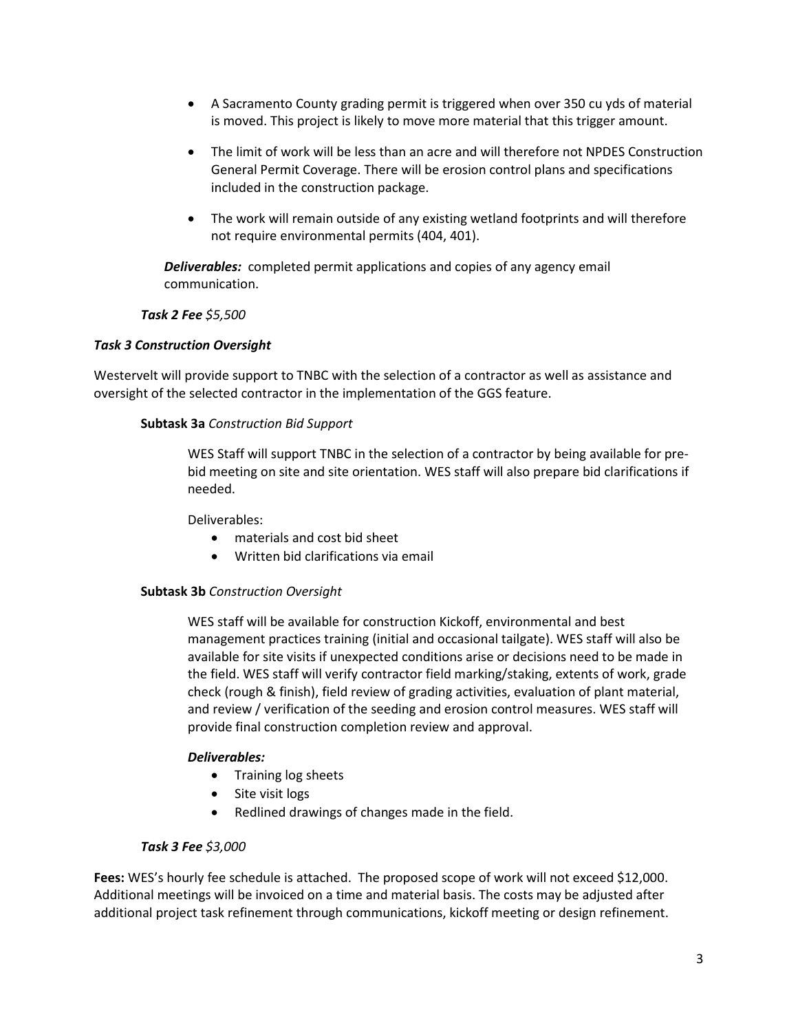- • A Sacramento County grading permit is triggered when over 350 cu yds of material is moved. This project is likely to move more material that this trigger amount.
- The limit of work will be less than an acre and will therefore not NPDES Construction General Permit Coverage. There will be erosion control plans and specifications included in the construction package.
- • The work will remain outside of any existing wetland footprints and will therefore not require environmental permits (404, 401).

 *Deliverables:* completed permit applications and copies of any agency email communication.

## *Task 2 Fee \$5,500*

### *Task 3 Construction Oversight*

 Westervelt will provide support to TNBC with the selection of a contractor as well as assistance and oversight of the selected contractor in the implementation of the GGS feature.

### **Subtask 3a** *Construction Bid Support*

 bid meeting on site and site orientation. WES staff will also prepare bid clarifications if WES Staff will support TNBC in the selection of a contractor by being available for preneeded.

Deliverables:

- materials and cost bid sheet
- Written bid clarifications via email

### **Subtask 3b** *Construction Oversight*

 WES staff will be available for construction Kickoff, environmental and best available for site visits if unexpected conditions arise or decisions need to be made in the field. WES staff will verify contractor field marking/staking, extents of work, grade and review / verification of the seeding and erosion control measures. WES staff will management practices training (initial and occasional tailgate). WES staff will also be check (rough & finish), field review of grading activities, evaluation of plant material, provide final construction completion review and approval.

### *Deliverables:*

- Training log sheets
- Site visit logs
- Redlined drawings of changes made in the field.

### *Task 3 Fee \$3,000*

 **Fees:** WES's hourly fee schedule is attached. The proposed scope of work will not exceed \$12,000. additional project task refinement through communications, kickoff meeting or design refinement. Additional meetings will be invoiced on a time and material basis. The costs may be adjusted after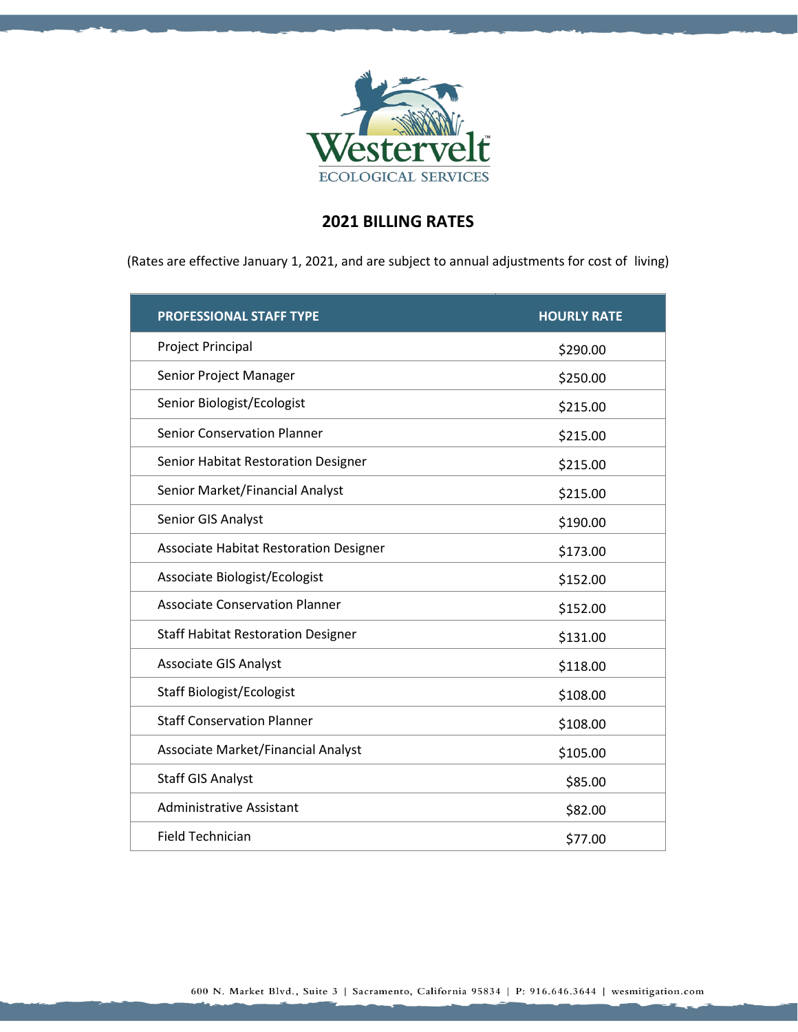

# **2021 BILLING RATES**

(Rates are effective January 1, 2021, and are subject to annual adjustments for cost of living)

| <b>PROFESSIONAL STAFF TYPE</b>                | <b>HOURLY RATE</b> |
|-----------------------------------------------|--------------------|
| Project Principal                             | \$290.00           |
| Senior Project Manager                        | \$250.00           |
| Senior Biologist/Ecologist                    | \$215.00           |
| <b>Senior Conservation Planner</b>            | \$215.00           |
| Senior Habitat Restoration Designer           | \$215.00           |
| Senior Market/Financial Analyst               | \$215.00           |
| Senior GIS Analyst                            | \$190.00           |
| <b>Associate Habitat Restoration Designer</b> | \$173.00           |
| Associate Biologist/Ecologist                 | \$152.00           |
| <b>Associate Conservation Planner</b>         | \$152.00           |
| <b>Staff Habitat Restoration Designer</b>     | \$131.00           |
| <b>Associate GIS Analyst</b>                  | \$118.00           |
| <b>Staff Biologist/Ecologist</b>              | \$108.00           |
| <b>Staff Conservation Planner</b>             | \$108.00           |
| Associate Market/Financial Analyst            | \$105.00           |
| <b>Staff GIS Analyst</b>                      | \$85.00            |
| <b>Administrative Assistant</b>               | \$82.00            |
| Field Technician                              | \$77.00            |